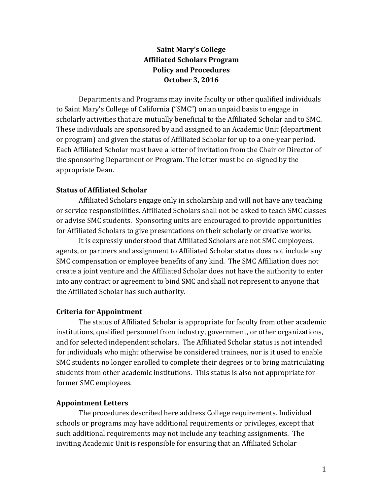# **Saint Mary's College Affiliated Scholars Program Policy and Procedures October 3, 2016**

Departments and Programs may invite faculty or other qualified individuals to Saint Mary's College of California ("SMC") on an unpaid basis to engage in scholarly activities that are mutually beneficial to the Affiliated Scholar and to SMC. These individuals are sponsored by and assigned to an Academic Unit (department or program) and given the status of Affiliated Scholar for up to a one-year period. Each Affiliated Scholar must have a letter of invitation from the Chair or Director of the sponsoring Department or Program. The letter must be co-signed by the appropriate Dean.

### **Status of Affiliated Scholar**

Affiliated Scholars engage only in scholarship and will not have any teaching or service responsibilities. Affiliated Scholars shall not be asked to teach SMC classes or advise SMC students. Sponsoring units are encouraged to provide opportunities for Affiliated Scholars to give presentations on their scholarly or creative works.

It is expressly understood that Affiliated Scholars are not SMC employees, agents, or partners and assignment to Affiliated Scholar status does not include any SMC compensation or employee benefits of any kind. The SMC Affiliation does not create a joint venture and the Affiliated Scholar does not have the authority to enter into any contract or agreement to bind SMC and shall not represent to anyone that the Affiliated Scholar has such authority.

#### **Criteria for Appointment**

The status of Affiliated Scholar is appropriate for faculty from other academic institutions, qualified personnel from industry, government, or other organizations, and for selected independent scholars. The Affiliated Scholar status is not intended for individuals who might otherwise be considered trainees, nor is it used to enable SMC students no longer enrolled to complete their degrees or to bring matriculating students from other academic institutions. This status is also not appropriate for former SMC employees.

### **Appointment Letters**

The procedures described here address College requirements. Individual schools or programs may have additional requirements or privileges, except that such additional requirements may not include any teaching assignments. The inviting Academic Unit is responsible for ensuring that an Affiliated Scholar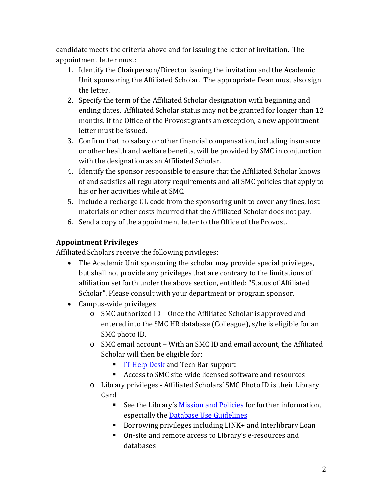candidate meets the criteria above and for issuing the letter of invitation. The appointment letter must:

- 1. Identify the Chairperson/Director issuing the invitation and the Academic Unit sponsoring the Affiliated Scholar. The appropriate Dean must also sign the letter.
- 2. Specify the term of the Affiliated Scholar designation with beginning and ending dates. Affiliated Scholar status may not be granted for longer than 12 months. If the Office of the Provost grants an exception, a new appointment letter must be issued.
- 3. Confirm that no salary or other financial compensation, including insurance or other health and welfare benefits, will be provided by SMC in conjunction with the designation as an Affiliated Scholar.
- 4. Identify the sponsor responsible to ensure that the Affiliated Scholar knows of and satisfies all regulatory requirements and all SMC policies that apply to his or her activities while at SMC.
- 5. Include a recharge GL code from the sponsoring unit to cover any fines, lost materials or other costs incurred that the Affiliated Scholar does not pay.
- 6. Send a copy of the appointment letter to the Office of the Provost.

# **Appointment Privileges**

Affiliated Scholars receive the following privileges:

- The Academic Unit sponsoring the scholar may provide special privileges, but shall not provide any privileges that are contrary to the limitations of affiliation set forth under the above section, entitled: "Status of Affiliated Scholar". Please consult with your department or program sponsor.
- Campus-wide privileges
	- o SMC authorized ID Once the Affiliated Scholar is approved and entered into the SMC HR database (Colleague), s/he is eligible for an SMC photo ID.
	- o SMC email account With an SMC ID and email account, the Affiliated Scholar will then be eligible for:
		- **IF Help Desk and Tech Bar support**
		- Access to SMC site-wide licensed software and resources
	- o Library privileges Affiliated Scholars' SMC Photo ID is their Library Card
		- See the Library's [Mission and Policies](http://www.stmarys-ca.edu/library/about-the-library/mission-and-policies) for further information, especially the Database Use Guidelines
		- Borrowing privileges including LINK+ and Interlibrary Loan
		- On-site and remote access to Library's e-resources and databases